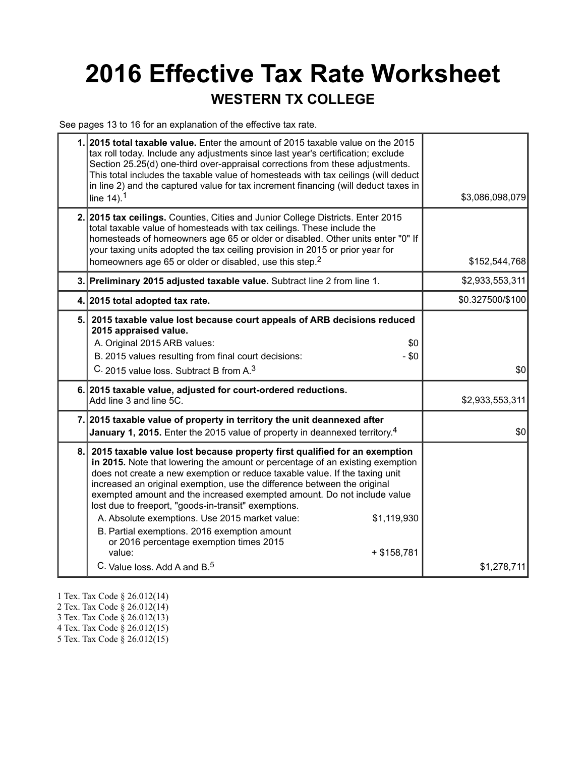## **2016 Effective Tax Rate Worksheet WESTERN TX COLLEGE**

See pages 13 to 16 for an explanation of the effective tax rate.

| 1. 2015 total taxable value. Enter the amount of 2015 taxable value on the 2015<br>tax roll today. Include any adjustments since last year's certification; exclude<br>Section 25.25(d) one-third over-appraisal corrections from these adjustments.<br>This total includes the taxable value of homesteads with tax ceilings (will deduct<br>in line 2) and the captured value for tax increment financing (will deduct taxes in<br>line $14$ ). <sup>1</sup>                                                                                                                                                                                                                                | \$3,086,098,079  |
|-----------------------------------------------------------------------------------------------------------------------------------------------------------------------------------------------------------------------------------------------------------------------------------------------------------------------------------------------------------------------------------------------------------------------------------------------------------------------------------------------------------------------------------------------------------------------------------------------------------------------------------------------------------------------------------------------|------------------|
| 2. 2015 tax ceilings. Counties, Cities and Junior College Districts. Enter 2015<br>total taxable value of homesteads with tax ceilings. These include the<br>homesteads of homeowners age 65 or older or disabled. Other units enter "0" If<br>your taxing units adopted the tax ceiling provision in 2015 or prior year for<br>homeowners age 65 or older or disabled, use this step. <sup>2</sup>                                                                                                                                                                                                                                                                                           | \$152,544,768    |
| 3. Preliminary 2015 adjusted taxable value. Subtract line 2 from line 1.                                                                                                                                                                                                                                                                                                                                                                                                                                                                                                                                                                                                                      | \$2,933,553,311  |
| 4. 2015 total adopted tax rate.                                                                                                                                                                                                                                                                                                                                                                                                                                                                                                                                                                                                                                                               | \$0.327500/\$100 |
| 5. 2015 taxable value lost because court appeals of ARB decisions reduced<br>2015 appraised value.<br>A. Original 2015 ARB values:<br>\$0<br>B. 2015 values resulting from final court decisions:<br>$-$ \$0<br>C. 2015 value loss. Subtract B from A. <sup>3</sup>                                                                                                                                                                                                                                                                                                                                                                                                                           | \$0              |
| 6. 2015 taxable value, adjusted for court-ordered reductions.<br>Add line 3 and line 5C.                                                                                                                                                                                                                                                                                                                                                                                                                                                                                                                                                                                                      | \$2,933,553,311  |
| 7. 2015 taxable value of property in territory the unit deannexed after<br><b>January 1, 2015.</b> Enter the 2015 value of property in deannexed territory. <sup>4</sup>                                                                                                                                                                                                                                                                                                                                                                                                                                                                                                                      | \$0              |
| 8. 2015 taxable value lost because property first qualified for an exemption<br>in 2015. Note that lowering the amount or percentage of an existing exemption<br>does not create a new exemption or reduce taxable value. If the taxing unit<br>increased an original exemption, use the difference between the original<br>exempted amount and the increased exempted amount. Do not include value<br>lost due to freeport, "goods-in-transit" exemptions.<br>A. Absolute exemptions. Use 2015 market value:<br>\$1,119,930<br>B. Partial exemptions. 2016 exemption amount<br>or 2016 percentage exemption times 2015<br>value:<br>$+ $158,781$<br>C. Value loss. Add A and B. <sup>5</sup> | \$1,278,711      |

- 1 Tex. Tax Code § 26.012(14)
- 2 Tex. Tax Code § 26.012(14)
- 3 Tex. Tax Code § 26.012(13)
- 4 Tex. Tax Code § 26.012(15)
- 5 Tex. Tax Code § 26.012(15)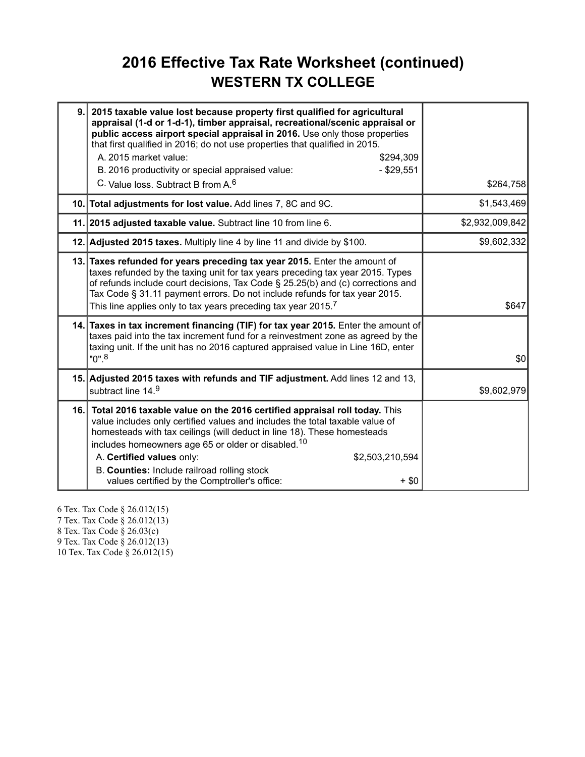#### **2016 Effective Tax Rate Worksheet (continued) WESTERN TX COLLEGE**

| 9. | 2015 taxable value lost because property first qualified for agricultural<br>appraisal (1-d or 1-d-1), timber appraisal, recreational/scenic appraisal or<br>public access airport special appraisal in 2016. Use only those properties<br>that first qualified in 2016; do not use properties that qualified in 2015.<br>A. 2015 market value:<br>\$294,309<br>B. 2016 productivity or special appraised value:<br>$-$ \$29,551<br>C. Value loss. Subtract B from A. <sup>6</sup> | \$264,758       |
|----|------------------------------------------------------------------------------------------------------------------------------------------------------------------------------------------------------------------------------------------------------------------------------------------------------------------------------------------------------------------------------------------------------------------------------------------------------------------------------------|-----------------|
|    | 10. Total adjustments for lost value. Add lines 7, 8C and 9C.                                                                                                                                                                                                                                                                                                                                                                                                                      | \$1,543,469     |
|    | 11. 2015 adjusted taxable value. Subtract line 10 from line 6.                                                                                                                                                                                                                                                                                                                                                                                                                     | \$2,932,009,842 |
|    | 12. Adjusted 2015 taxes. Multiply line 4 by line 11 and divide by \$100.                                                                                                                                                                                                                                                                                                                                                                                                           | \$9,602,332     |
|    | 13. Taxes refunded for years preceding tax year 2015. Enter the amount of<br>taxes refunded by the taxing unit for tax years preceding tax year 2015. Types<br>of refunds include court decisions, Tax Code § 25.25(b) and (c) corrections and<br>Tax Code § 31.11 payment errors. Do not include refunds for tax year 2015.<br>This line applies only to tax years preceding tax year 2015. <sup>7</sup>                                                                          | \$647           |
|    | 14. Taxes in tax increment financing (TIF) for tax year 2015. Enter the amount of<br>taxes paid into the tax increment fund for a reinvestment zone as agreed by the<br>taxing unit. If the unit has no 2016 captured appraised value in Line 16D, enter<br>$"0"$ . $^8$                                                                                                                                                                                                           | \$0             |
|    | 15. Adjusted 2015 taxes with refunds and TIF adjustment. Add lines 12 and 13,<br>subtract line 14.9                                                                                                                                                                                                                                                                                                                                                                                | \$9,602,979     |
|    | 16. Total 2016 taxable value on the 2016 certified appraisal roll today. This<br>value includes only certified values and includes the total taxable value of<br>homesteads with tax ceilings (will deduct in line 18). These homesteads<br>includes homeowners age 65 or older or disabled. <sup>10</sup><br>A. Certified values only:<br>\$2,503,210,594<br>B. Counties: Include railroad rolling stock<br>values certified by the Comptroller's office:<br>$+$ \$0              |                 |

6 Tex. Tax Code § 26.012(15) 7 Tex. Tax Code § 26.012(13) 8 Tex. Tax Code § 26.03(c) 9 Tex. Tax Code § 26.012(13) 10 Tex. Tax Code § 26.012(15)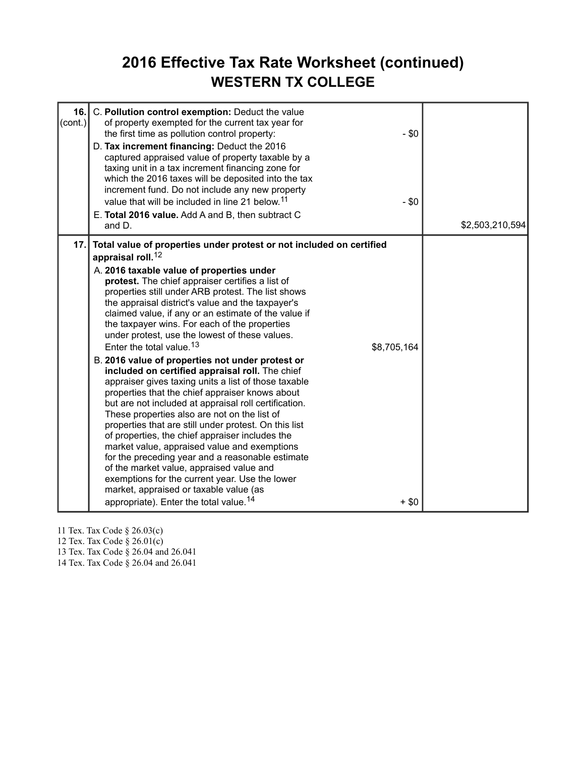#### **2016 Effective Tax Rate Worksheet (continued) WESTERN TX COLLEGE**

| 16.<br>(cont.) | C. Pollution control exemption: Deduct the value<br>of property exempted for the current tax year for<br>the first time as pollution control property:<br>$-$ \$0<br>D. Tax increment financing: Deduct the 2016<br>captured appraised value of property taxable by a<br>taxing unit in a tax increment financing zone for<br>which the 2016 taxes will be deposited into the tax<br>increment fund. Do not include any new property<br>value that will be included in line 21 below. <sup>11</sup><br>$- $0$<br>E. Total 2016 value. Add A and B, then subtract C<br>and D.                                                                                                                                                                                                                                                                                                                                                                                                                                                                                                                                                                                                                                                                                                            | \$2,503,210,594 |
|----------------|-----------------------------------------------------------------------------------------------------------------------------------------------------------------------------------------------------------------------------------------------------------------------------------------------------------------------------------------------------------------------------------------------------------------------------------------------------------------------------------------------------------------------------------------------------------------------------------------------------------------------------------------------------------------------------------------------------------------------------------------------------------------------------------------------------------------------------------------------------------------------------------------------------------------------------------------------------------------------------------------------------------------------------------------------------------------------------------------------------------------------------------------------------------------------------------------------------------------------------------------------------------------------------------------|-----------------|
| 17.1           | Total value of properties under protest or not included on certified<br>appraisal roll. <sup>12</sup><br>A. 2016 taxable value of properties under<br>protest. The chief appraiser certifies a list of<br>properties still under ARB protest. The list shows<br>the appraisal district's value and the taxpayer's<br>claimed value, if any or an estimate of the value if<br>the taxpayer wins. For each of the properties<br>under protest, use the lowest of these values.<br>Enter the total value. <sup>13</sup><br>\$8,705,164<br>B. 2016 value of properties not under protest or<br>included on certified appraisal roll. The chief<br>appraiser gives taxing units a list of those taxable<br>properties that the chief appraiser knows about<br>but are not included at appraisal roll certification.<br>These properties also are not on the list of<br>properties that are still under protest. On this list<br>of properties, the chief appraiser includes the<br>market value, appraised value and exemptions<br>for the preceding year and a reasonable estimate<br>of the market value, appraised value and<br>exemptions for the current year. Use the lower<br>market, appraised or taxable value (as<br>appropriate). Enter the total value. <sup>14</sup><br>$+$ \$0 |                 |

11 Tex. Tax Code § 26.03(c)

12 Tex. Tax Code § 26.01(c)

13 Tex. Tax Code § 26.04 and 26.041

14 Tex. Tax Code § 26.04 and 26.041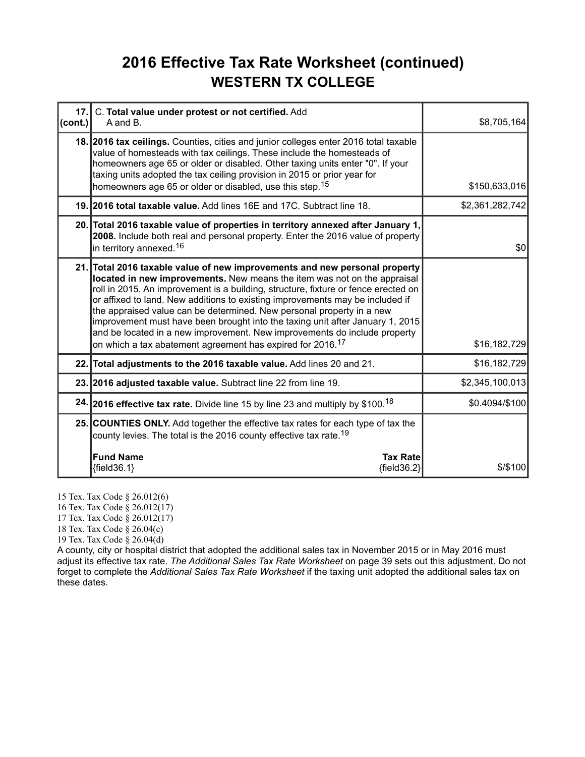### **2016 Effective Tax Rate Worksheet (continued) WESTERN TX COLLEGE**

| 17.<br>(cont.) | C. Total value under protest or not certified. Add<br>A and B.                                                                                                                                                                                                                                                                                                                                                                                                                                                                                                                                                                                 | \$8,705,164]    |
|----------------|------------------------------------------------------------------------------------------------------------------------------------------------------------------------------------------------------------------------------------------------------------------------------------------------------------------------------------------------------------------------------------------------------------------------------------------------------------------------------------------------------------------------------------------------------------------------------------------------------------------------------------------------|-----------------|
|                | 18. 2016 tax ceilings. Counties, cities and junior colleges enter 2016 total taxable<br>value of homesteads with tax ceilings. These include the homesteads of<br>homeowners age 65 or older or disabled. Other taxing units enter "0". If your<br>taxing units adopted the tax ceiling provision in 2015 or prior year for<br>homeowners age 65 or older or disabled, use this step. <sup>15</sup>                                                                                                                                                                                                                                            | \$150,633,016   |
|                | 19. 2016 total taxable value. Add lines 16E and 17C. Subtract line 18.                                                                                                                                                                                                                                                                                                                                                                                                                                                                                                                                                                         | \$2,361,282,742 |
|                | 20. Total 2016 taxable value of properties in territory annexed after January 1,<br>2008. Include both real and personal property. Enter the 2016 value of property<br>in territory annexed. <sup>16</sup>                                                                                                                                                                                                                                                                                                                                                                                                                                     | \$0             |
|                | 21. Total 2016 taxable value of new improvements and new personal property<br>located in new improvements. New means the item was not on the appraisal<br>roll in 2015. An improvement is a building, structure, fixture or fence erected on<br>or affixed to land. New additions to existing improvements may be included if<br>the appraised value can be determined. New personal property in a new<br>improvement must have been brought into the taxing unit after January 1, 2015<br>and be located in a new improvement. New improvements do include property<br>on which a tax abatement agreement has expired for 2016. <sup>17</sup> | \$16,182,729    |
|                | 22. Total adjustments to the 2016 taxable value. Add lines 20 and 21.                                                                                                                                                                                                                                                                                                                                                                                                                                                                                                                                                                          | \$16,182,729    |
|                | 23. 2016 adjusted taxable value. Subtract line 22 from line 19.                                                                                                                                                                                                                                                                                                                                                                                                                                                                                                                                                                                | \$2,345,100,013 |
|                | 24. 2016 effective tax rate. Divide line 15 by line 23 and multiply by \$100. <sup>18</sup>                                                                                                                                                                                                                                                                                                                                                                                                                                                                                                                                                    | \$0.4094/\$100  |
|                | 25. COUNTIES ONLY. Add together the effective tax rates for each type of tax the<br>county levies. The total is the 2016 county effective tax rate. <sup>19</sup>                                                                                                                                                                                                                                                                                                                                                                                                                                                                              |                 |
|                | <b>Fund Name</b><br><b>Tax Rate</b><br>${field36.1}$<br>${field36.2}$                                                                                                                                                                                                                                                                                                                                                                                                                                                                                                                                                                          | $$$ /\$100      |

15 Tex. Tax Code § 26.012(6)

16 Tex. Tax Code § 26.012(17)

17 Tex. Tax Code § 26.012(17)

18 Tex. Tax Code § 26.04(c)

19 Tex. Tax Code § 26.04(d)

A county, city or hospital district that adopted the additional sales tax in November 2015 or in May 2016 must adjust its effective tax rate. *The Additional Sales Tax Rate Worksheet* on page 39 sets out this adjustment. Do not forget to complete the *Additional Sales Tax Rate Worksheet* if the taxing unit adopted the additional sales tax on these dates.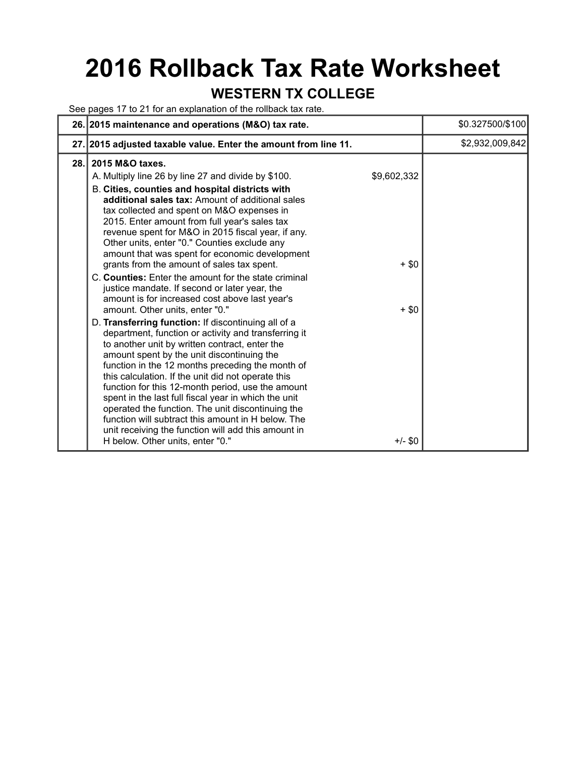# **2016 Rollback Tax Rate Worksheet**

#### **WESTERN TX COLLEGE**

See pages 17 to 21 for an explanation of the rollback tax rate.

|     | 26. 2015 maintenance and operations (M&O) tax rate.                                                                                                                                                                                                                                                                                                                                                                                                                                                                                                                                                                                                                                                                                                                                                                                                                                                                                                                                                                                                                                                                                                                                                                                                                                                                          |                                               | \$0.327500/\$100 |
|-----|------------------------------------------------------------------------------------------------------------------------------------------------------------------------------------------------------------------------------------------------------------------------------------------------------------------------------------------------------------------------------------------------------------------------------------------------------------------------------------------------------------------------------------------------------------------------------------------------------------------------------------------------------------------------------------------------------------------------------------------------------------------------------------------------------------------------------------------------------------------------------------------------------------------------------------------------------------------------------------------------------------------------------------------------------------------------------------------------------------------------------------------------------------------------------------------------------------------------------------------------------------------------------------------------------------------------------|-----------------------------------------------|------------------|
|     | 27. 2015 adjusted taxable value. Enter the amount from line 11.                                                                                                                                                                                                                                                                                                                                                                                                                                                                                                                                                                                                                                                                                                                                                                                                                                                                                                                                                                                                                                                                                                                                                                                                                                                              |                                               | \$2,932,009,842  |
| 28. | 2015 M&O taxes.<br>A. Multiply line 26 by line 27 and divide by \$100.<br>B. Cities, counties and hospital districts with<br>additional sales tax: Amount of additional sales<br>tax collected and spent on M&O expenses in<br>2015. Enter amount from full year's sales tax<br>revenue spent for M&O in 2015 fiscal year, if any.<br>Other units, enter "0." Counties exclude any<br>amount that was spent for economic development<br>grants from the amount of sales tax spent.<br>C. Counties: Enter the amount for the state criminal<br>justice mandate. If second or later year, the<br>amount is for increased cost above last year's<br>amount. Other units, enter "0."<br>D. Transferring function: If discontinuing all of a<br>department, function or activity and transferring it<br>to another unit by written contract, enter the<br>amount spent by the unit discontinuing the<br>function in the 12 months preceding the month of<br>this calculation. If the unit did not operate this<br>function for this 12-month period, use the amount<br>spent in the last full fiscal year in which the unit<br>operated the function. The unit discontinuing the<br>function will subtract this amount in H below. The<br>unit receiving the function will add this amount in<br>H below. Other units, enter "0." | \$9,602,332<br>$+ $0$<br>$+$ \$0<br>$+/-$ \$0 |                  |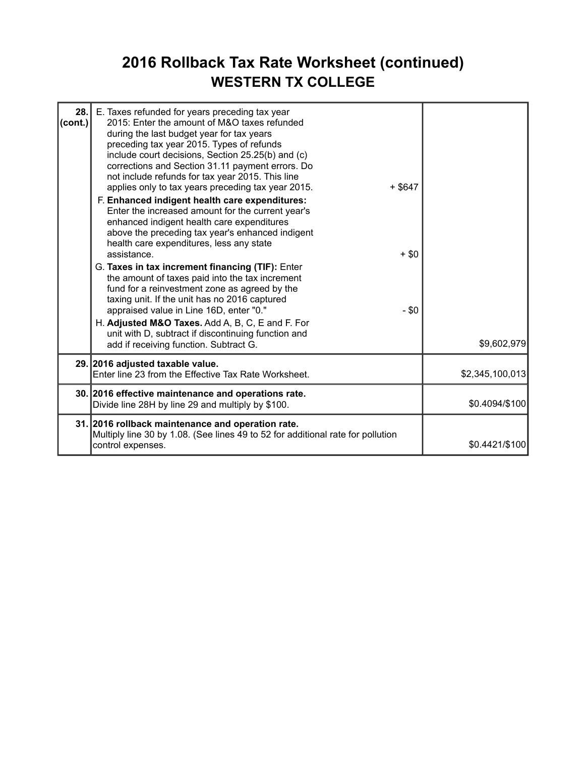### **2016 Rollback Tax Rate Worksheet (continued) WESTERN TX COLLEGE**

| 28.<br>(cont.) | E. Taxes refunded for years preceding tax year<br>2015: Enter the amount of M&O taxes refunded<br>during the last budget year for tax years<br>preceding tax year 2015. Types of refunds<br>include court decisions, Section 25.25(b) and (c)<br>corrections and Section 31.11 payment errors. Do<br>not include refunds for tax year 2015. This line<br>applies only to tax years preceding tax year 2015.<br>F. Enhanced indigent health care expenditures:<br>Enter the increased amount for the current year's<br>enhanced indigent health care expenditures<br>above the preceding tax year's enhanced indigent<br>health care expenditures, less any state<br>assistance.<br>G. Taxes in tax increment financing (TIF): Enter<br>the amount of taxes paid into the tax increment<br>fund for a reinvestment zone as agreed by the<br>taxing unit. If the unit has no 2016 captured<br>appraised value in Line 16D, enter "0."<br>H. Adjusted M&O Taxes. Add A, B, C, E and F. For<br>unit with D, subtract if discontinuing function and<br>add if receiving function. Subtract G. | $+$ \$647<br>$+ $0$<br>$- $0$ | \$9,602,979     |
|----------------|------------------------------------------------------------------------------------------------------------------------------------------------------------------------------------------------------------------------------------------------------------------------------------------------------------------------------------------------------------------------------------------------------------------------------------------------------------------------------------------------------------------------------------------------------------------------------------------------------------------------------------------------------------------------------------------------------------------------------------------------------------------------------------------------------------------------------------------------------------------------------------------------------------------------------------------------------------------------------------------------------------------------------------------------------------------------------------------|-------------------------------|-----------------|
|                | 29. 2016 adjusted taxable value.<br>Enter line 23 from the Effective Tax Rate Worksheet.                                                                                                                                                                                                                                                                                                                                                                                                                                                                                                                                                                                                                                                                                                                                                                                                                                                                                                                                                                                                 |                               | \$2,345,100,013 |
|                | 30. 2016 effective maintenance and operations rate.<br>Divide line 28H by line 29 and multiply by \$100.                                                                                                                                                                                                                                                                                                                                                                                                                                                                                                                                                                                                                                                                                                                                                                                                                                                                                                                                                                                 |                               | \$0.4094/\$100  |
|                | 31. 2016 rollback maintenance and operation rate.<br>Multiply line 30 by 1.08. (See lines 49 to 52 for additional rate for pollution<br>control expenses.                                                                                                                                                                                                                                                                                                                                                                                                                                                                                                                                                                                                                                                                                                                                                                                                                                                                                                                                |                               | \$0.4421/\$100  |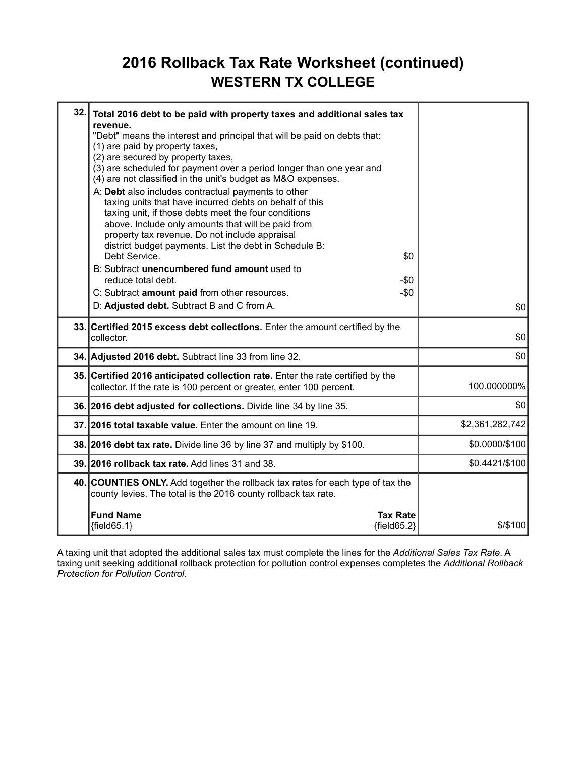### **2016 Rollback Tax Rate Worksheet (continued) WESTERN TX COLLEGE**

| 32.1 | Total 2016 debt to be paid with property taxes and additional sales tax<br>revenue.                                                                                                                                                                                                                                                                              |                 |
|------|------------------------------------------------------------------------------------------------------------------------------------------------------------------------------------------------------------------------------------------------------------------------------------------------------------------------------------------------------------------|-----------------|
|      | "Debt" means the interest and principal that will be paid on debts that:<br>(1) are paid by property taxes,<br>(2) are secured by property taxes,<br>(3) are scheduled for payment over a period longer than one year and<br>(4) are not classified in the unit's budget as M&O expenses.                                                                        |                 |
|      | A: Debt also includes contractual payments to other<br>taxing units that have incurred debts on behalf of this<br>taxing unit, if those debts meet the four conditions<br>above. Include only amounts that will be paid from<br>property tax revenue. Do not include appraisal<br>district budget payments. List the debt in Schedule B:<br>Debt Service.<br>\$0 |                 |
|      | B: Subtract unencumbered fund amount used to<br>reduce total debt.                                                                                                                                                                                                                                                                                               |                 |
|      | -\$0<br>C: Subtract amount paid from other resources.<br>$-\$0$                                                                                                                                                                                                                                                                                                  |                 |
|      | D: Adjusted debt. Subtract B and C from A.                                                                                                                                                                                                                                                                                                                       | \$0             |
|      | 33. Certified 2015 excess debt collections. Enter the amount certified by the<br>collector.                                                                                                                                                                                                                                                                      | \$0             |
|      | 34. Adjusted 2016 debt. Subtract line 33 from line 32.                                                                                                                                                                                                                                                                                                           | \$0             |
|      | 35. Certified 2016 anticipated collection rate. Enter the rate certified by the<br>collector. If the rate is 100 percent or greater, enter 100 percent.                                                                                                                                                                                                          | 100.000000%     |
|      | 36. 2016 debt adjusted for collections. Divide line 34 by line 35.                                                                                                                                                                                                                                                                                               | \$0             |
|      | 37. 2016 total taxable value. Enter the amount on line 19.                                                                                                                                                                                                                                                                                                       | \$2,361,282,742 |
|      | 38. 2016 debt tax rate. Divide line 36 by line 37 and multiply by \$100.                                                                                                                                                                                                                                                                                         | \$0.0000/\$100  |
|      | 39. 2016 rollback tax rate. Add lines 31 and 38.                                                                                                                                                                                                                                                                                                                 | \$0.4421/\$100  |
|      | 40. COUNTIES ONLY. Add together the rollback tax rates for each type of tax the<br>county levies. The total is the 2016 county rollback tax rate.                                                                                                                                                                                                                |                 |
|      | <b>Fund Name</b><br><b>Tax Rate</b><br>${field65.1}$<br>${field65.2}$                                                                                                                                                                                                                                                                                            | $$$ /\$100      |

A taxing unit that adopted the additional sales tax must complete the lines for the *Additional Sales Tax Rate*. A taxing unit seeking additional rollback protection for pollution control expenses completes the *Additional Rollback Protection for Pollution Control*.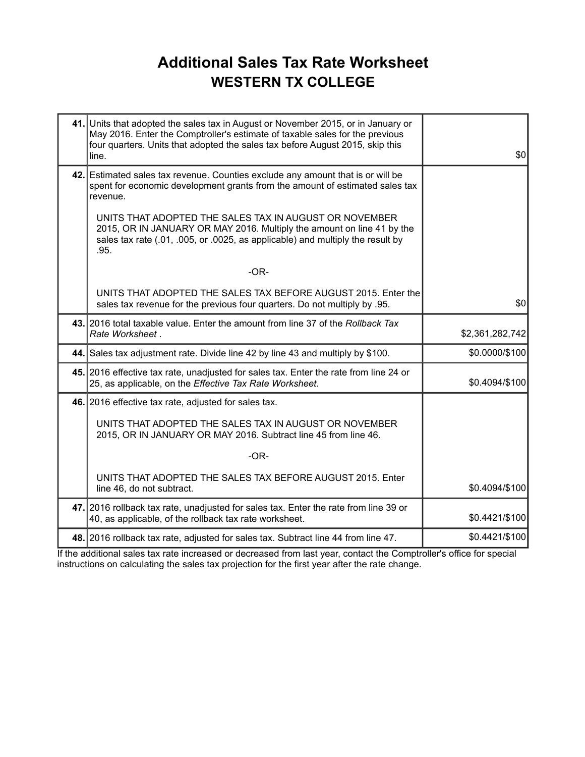### **Additional Sales Tax Rate Worksheet WESTERN TX COLLEGE**

| 41. Units that adopted the sales tax in August or November 2015, or in January or<br>May 2016. Enter the Comptroller's estimate of taxable sales for the previous<br>four quarters. Units that adopted the sales tax before August 2015, skip this<br>line. | \$0             |
|-------------------------------------------------------------------------------------------------------------------------------------------------------------------------------------------------------------------------------------------------------------|-----------------|
| 42. Estimated sales tax revenue. Counties exclude any amount that is or will be<br>spent for economic development grants from the amount of estimated sales tax<br>revenue.                                                                                 |                 |
| UNITS THAT ADOPTED THE SALES TAX IN AUGUST OR NOVEMBER<br>2015, OR IN JANUARY OR MAY 2016. Multiply the amount on line 41 by the<br>sales tax rate (.01, .005, or .0025, as applicable) and multiply the result by<br>.95.                                  |                 |
| $-OR-$                                                                                                                                                                                                                                                      |                 |
| UNITS THAT ADOPTED THE SALES TAX BEFORE AUGUST 2015. Enter the<br>sales tax revenue for the previous four quarters. Do not multiply by .95.                                                                                                                 | \$0             |
| 43. 2016 total taxable value. Enter the amount from line 37 of the Rollback Tax<br>Rate Worksheet.                                                                                                                                                          | \$2,361,282,742 |
| 44. Sales tax adjustment rate. Divide line 42 by line 43 and multiply by \$100.                                                                                                                                                                             | \$0.0000/\$100  |
| 45. 2016 effective tax rate, unadjusted for sales tax. Enter the rate from line 24 or<br>25, as applicable, on the Effective Tax Rate Worksheet.                                                                                                            | \$0.4094/\$100  |
| 46. 2016 effective tax rate, adjusted for sales tax.                                                                                                                                                                                                        |                 |
| UNITS THAT ADOPTED THE SALES TAX IN AUGUST OR NOVEMBER<br>2015, OR IN JANUARY OR MAY 2016. Subtract line 45 from line 46.                                                                                                                                   |                 |
| $-OR-$                                                                                                                                                                                                                                                      |                 |
| UNITS THAT ADOPTED THE SALES TAX BEFORE AUGUST 2015. Enter<br>line 46, do not subtract.                                                                                                                                                                     | \$0.4094/\$100  |
| 47. 2016 rollback tax rate, unadjusted for sales tax. Enter the rate from line 39 or<br>40, as applicable, of the rollback tax rate worksheet.                                                                                                              | \$0.4421/\$100  |
| 48. 2016 rollback tax rate, adjusted for sales tax. Subtract line 44 from line 47.                                                                                                                                                                          | \$0.4421/\$100  |

If the additional sales tax rate increased or decreased from last year, contact the Comptroller's office for special instructions on calculating the sales tax projection for the first year after the rate change.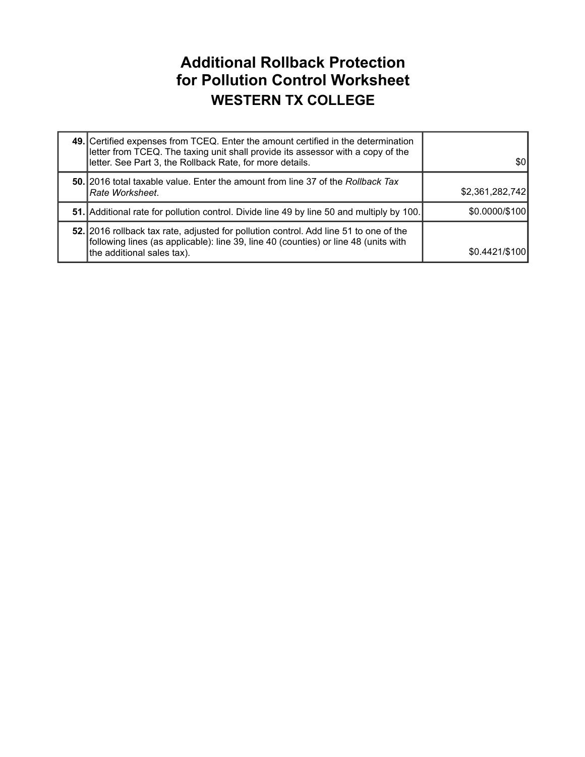#### **Additional Rollback Protection for Pollution Control Worksheet WESTERN TX COLLEGE**

| 49. Certified expenses from TCEQ. Enter the amount certified in the determination<br>letter from TCEQ. The taxing unit shall provide its assessor with a copy of the<br>letter. See Part 3, the Rollback Rate, for more details. | \$01            |
|----------------------------------------------------------------------------------------------------------------------------------------------------------------------------------------------------------------------------------|-----------------|
| 50. 2016 total taxable value. Enter the amount from line 37 of the Rollback Tax<br> Rate Worksheet.                                                                                                                              | \$2,361,282,742 |
| <b>51.</b> Additional rate for pollution control. Divide line 49 by line 50 and multiply by 100.                                                                                                                                 | \$0.0000/\$100  |
| 52. 2016 rollback tax rate, adjusted for pollution control. Add line 51 to one of the<br>following lines (as applicable): line 39, line 40 (counties) or line 48 (units with<br>the additional sales tax).                       | \$0.4421/\$100  |